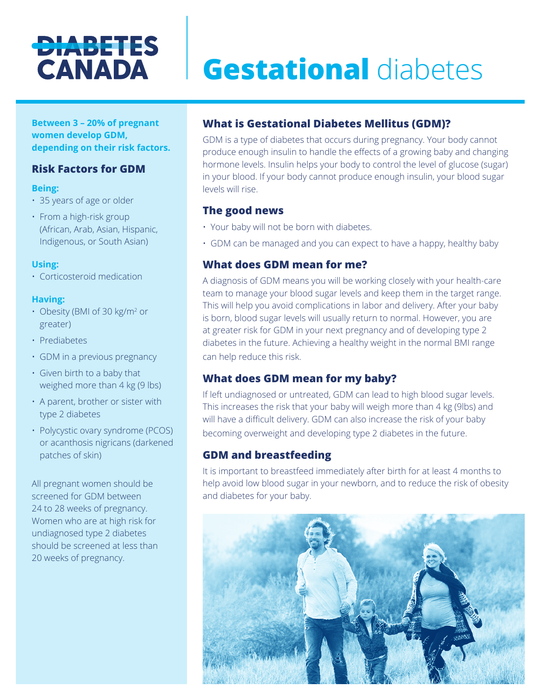## **DIABETES CANADA**

# **Gestational** diabetes

**Between 3 – 20% of pregnant women develop GDM, depending on their risk factors.**

## **Risk Factors for GDM**

#### **Being:**

- 35 years of age or older
- From a high-risk group (African, Arab, Asian, Hispanic, Indigenous, or South Asian)

#### **Using:**

• Corticosteroid medication

#### **Having:**

- Obesity (BMI of 30 kg/m<sup>2</sup> or greater)
- Prediabetes
- GDM in a previous pregnancy
- Given birth to a baby that weighed more than 4 kg (9 lbs)
- A parent, brother or sister with type 2 diabetes
- Polycystic ovary syndrome (PCOS) or acanthosis nigricans (darkened patches of skin)

All pregnant women should be screened for GDM between 24 to 28 weeks of pregnancy. Women who are at high risk for undiagnosed type 2 diabetes should be screened at less than 20 weeks of pregnancy.

## **What is Gestational Diabetes Mellitus (GDM)?**

GDM is a type of diabetes that occurs during pregnancy. Your body cannot produce enough insulin to handle the effects of a growing baby and changing hormone levels. Insulin helps your body to control the level of glucose (sugar) in your blood. If your body cannot produce enough insulin, your blood sugar levels will rise.

## **The good news**

- Your baby will not be born with diabetes.
- GDM can be managed and you can expect to have a happy, healthy baby

#### **What does GDM mean for me?**

A diagnosis of GDM means you will be working closely with your health-care team to manage your blood sugar levels and keep them in the target range. This will help you avoid complications in labor and delivery. After your baby is born, blood sugar levels will usually return to normal. However, you are at greater risk for GDM in your next pregnancy and of developing type 2 diabetes in the future. Achieving a healthy weight in the normal BMI range can help reduce this risk.

## **What does GDM mean for my baby?**

If left undiagnosed or untreated, GDM can lead to high blood sugar levels. This increases the risk that your baby will weigh more than 4 kg (9lbs) and will have a difficult delivery. GDM can also increase the risk of your baby becoming overweight and developing type 2 diabetes in the future.

## **GDM and breastfeeding**

It is important to breastfeed immediately after birth for at least 4 months to help avoid low blood sugar in your newborn, and to reduce the risk of obesity and diabetes for your baby.